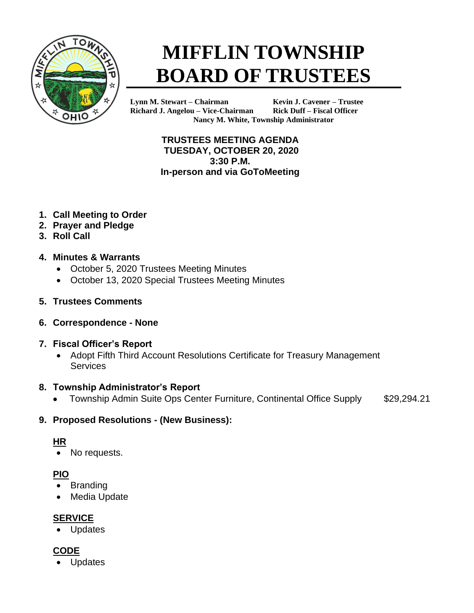

# **MIFFLIN TOWNSHIP BOARD OF TRUSTEES**

**Lynn M. Stewart – Chairman Kevin J. Cavener – Trustee Richard J. Angelou – Vice-Chairman Rick Duff – Fiscal Officer Nancy M. White, Township Administrator**

> **TRUSTEES MEETING AGENDA TUESDAY, OCTOBER 20, 2020 3:30 P.M. In-person and via GoToMeeting**

- **1. Call Meeting to Order**
- **2. Prayer and Pledge**
- **3. Roll Call**

## **4. Minutes & Warrants**

- October 5, 2020 Trustees Meeting Minutes
- October 13, 2020 Special Trustees Meeting Minutes
- **5. Trustees Comments**
- **6. Correspondence - None**
- **7. Fiscal Officer's Report**
	- Adopt Fifth Third Account Resolutions Certificate for Treasury Management **Services**

# **8. Township Administrator's Report**

• Township Admin Suite Ops Center Furniture, Continental Office Supply \$29,294.21

# **9. Proposed Resolutions - (New Business):**

# **HR**

• No requests.

# **PIO**

- Branding
- **Media Update**

# **SERVICE**

**Updates** 

# **CODE**

**Updates**